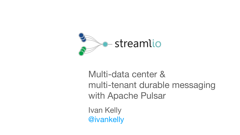### Multi-data center & multi-tenant durable messaging with Apache Pulsar



Ivan Kelly @ivankelly

### - streamlio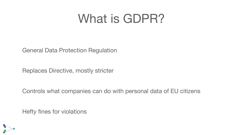# What is GDPR?

### General Data Protection Regulation

### Replaces Directive, mostly stricter

### Controls what companies can do with personal data of EU citizens

### Hefty fines for violations

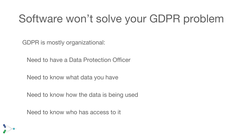### Software won't solve your GDPR problem

GDPR is mostly organizational:

Need to have a Data Protection Officer

Need to know what data you have

Need to know how the data is being used

Need to know who has access to it

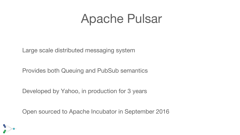## Apache Pulsar

### Large scale distributed messaging system

### Provides both Queuing and PubSub semantics

Developed by Yahoo, in production for 3 years

Open sourced to Apache Incubator in September 2016



- 
- 

- 
-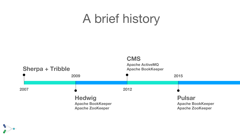# A brief history

#### **CMS Apache ActiveMQ Apache BookKeeper**

**2012 2015 Pulsar**

**Apache BookKeeper Apache ZooKeeper**



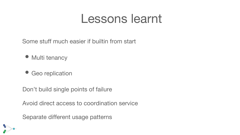### Lessons learnt

### Some stuff much easier if builtin from start

- Multi tenancy
- Geo replication
- Don't build single points of failure
- Avoid direct access to coordination service
- Separate different usage patterns

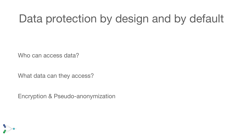## Data protection by design and by default

Who can access data?

What data can they access?

Encryption & Pseudo-anonymization

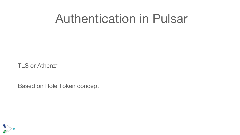## Authentication in Pulsar

#### TLS or Athenz\*

### Based on Role Token concept

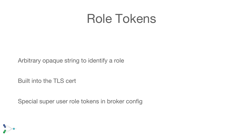### Role Tokens

### Arbitrary opaque string to identify a role

### Built into the TLS cert

Special super user role tokens in broker config

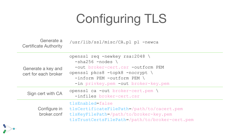# Configuring TLS

Generate a Certificate Authority

/usr/lib/ssl/misc/CA.pl pl -newca

| Generate a key and<br>cert for each broker | openssl req -newkey<br>$-sha256$ -nodes \<br>-out broker-cert<br>openssl pkcs8 -topl<br>-inform PEM -out:<br>-in privkey.pem · |
|--------------------------------------------|--------------------------------------------------------------------------------------------------------------------------------|
| Sign cert with CA                          | openssl ca -out bro<br>-infiles broker-                                                                                        |
| Configure in<br>broker.conf                | tlsEnabled=false<br>tlsCertificateFilel<br>tlsKeyFilePath=/pat<br>tlsTrustCertsFilePa                                          |



```
\forall x \in \mathcal{S} \text{ is a:} 2048rt.csr -outform PEM
\text{c}opk8 -nocrypt \
outform PEM \
em -out broker-key.pem
broker-cert.pem \
r-cert.csr
```
.lePath=/path/to/cacert.pem path/to/broker-key.pem ePath=/path/to/broker-cert.pem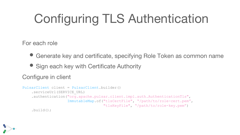# Configuring TLS Authentication

For each role

• Generate key and certificate, specifying Role Token as common name

• Sign each key with Certificate Authority Configure in client

```
PulsarClient client = PulsarClient.builder()
     .serviceUrl(SERVICE_URL)
     .authentication("org.apache.pulsar.client.impl.auth.AuthenticationTls",
```
 ImmutableMap.of("tlsCertFile", "/path/to/role-cert.pem", "tlsKeyFile", "/path/to/role-key.pem")

.build();

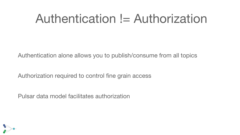## Authentication != Authorization

Authentication alone allows you to publish/consume from all topics

Authorization required to control fine grain access

Pulsar data model facilitates authorization

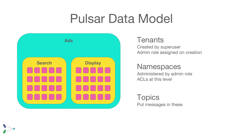# Pulsar Data Model

Created by superuser Admin role assigned on creation





Administered by admin role ACLs at this level

Topics Put messages in these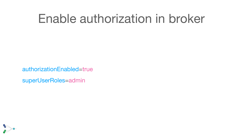## Enable authorization in broker

### authorizationEnabled=true superUserRoles=admin

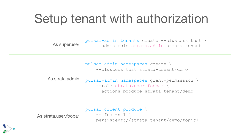# Setup tenant with authorization

As superuser

pulsar-admin tenants create --clusters test \ --admin-role strata.admin strata-tenant

- 
- As strata.admin
	-
	-

pulsar-admin namespaces create \ --clusters test strata-tenant/demo

pulsar-admin namespaces grant-permission \ --role strata.user.foobar \ --actions produce strata-tenant/demo

As strata.user.foobar



pulsar-client produce \  $-m$  foo  $-n$  1  $\backslash$ persistent://strata-tenant/demo/topic1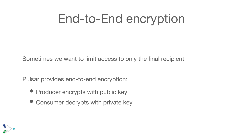# End-to-End encryption

- Pulsar provides end-to-end encryption:
	- Producer encrypts with public key
	- Consumer decrypts with private key



### Sometimes we want to limit access to only the final recipient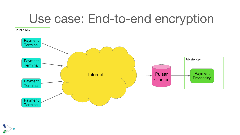# Use case: End-to-end encryption



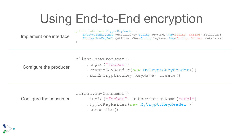# Using End-to-End encryption

 EncryptionKeyInfo getPublicKey(String keyName, Map<String, String> metadata); EncryptionKeyInfo getPrivateKey(String keyName, Map<String, String> metadata);



 .cryptoKeyReader(new MyCryptoKeyReader()) .addEncryptionKey(keyName).create()

#### Configure the consumer

- client.newConsumer()
	-
	-
	- .subscribe()



```
 .topic("foobar").subscriptionName("sub1")
 .cyptoKeyReader(new MyCryptoKeyReader())
```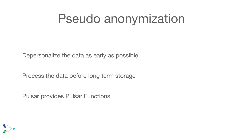## Pseudo anonymization

### Depersonalize the data as early as possible

Process the data before long term storage

Pulsar provides Pulsar Functions

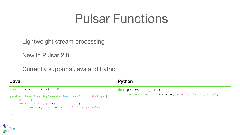### Pulsar Functions

### Lightweight stream processing

#### New in Pulsar 2.0

### Currently supports Java and Python

**import** java.util.function.Function;

```
public class Anon implements Function<String, String> {
     @Override
     public String apply(String input) {
         return input.replace("ivan", "anonymous");
 }
}
```
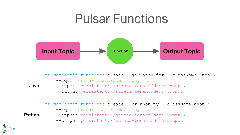## Pulsar Functions



**Java** pulsar-admin functions create --jar anon.jar --className Anon \ --fqfn strata-tenant/demo/anonymize \ --inputs persistent://strata-tenant/demo/input \ --output persistent://strata-tenant/demo/output

**Python**



pulsar-admin functions create --py anon.py --className anon \ --fqfn strata-tenant/demo/anonymize \ --inputs persistent://strata-tenant/demo/input \ --output persistent://strata-tenant/demo/output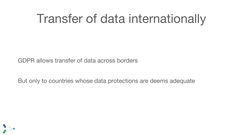# Transfer of data internationally

### GDPR allows transfer of data across borders

But only to countries whose data protections are deems adequate

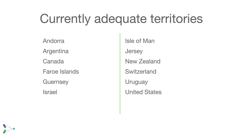# Currently adequate territories

Isle of Man **Jersey** 

Andorra Argentina Canada Faroe Islands **Guernsey** Israel



New Zealand

Switzerland

Uruguay

United States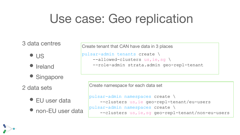# Use case: Geo replication

- US
- Ireland
- Singapore
- 2 data sets
	- EU user data
	- non-EU user data

### 3 data centres

```
pulsar-admin namespaces create \
     --clusters us,ie geo-repl-tenant/eu-users
pulsar-admin namespaces create \
    --clusters us, ie, sg geo-repl-tenant/non-eu-users
```


Create tenant that CAN have data in 3 places pulsar-admin tenants create \ --allowed-clusters us,ie,sg \ --role-admin strata.admin geo-repl-tenant



Create namespace for each data set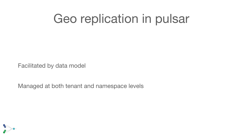# Geo replication in pulsar

#### Facilitated by data model

### Managed at both tenant and namespace levels